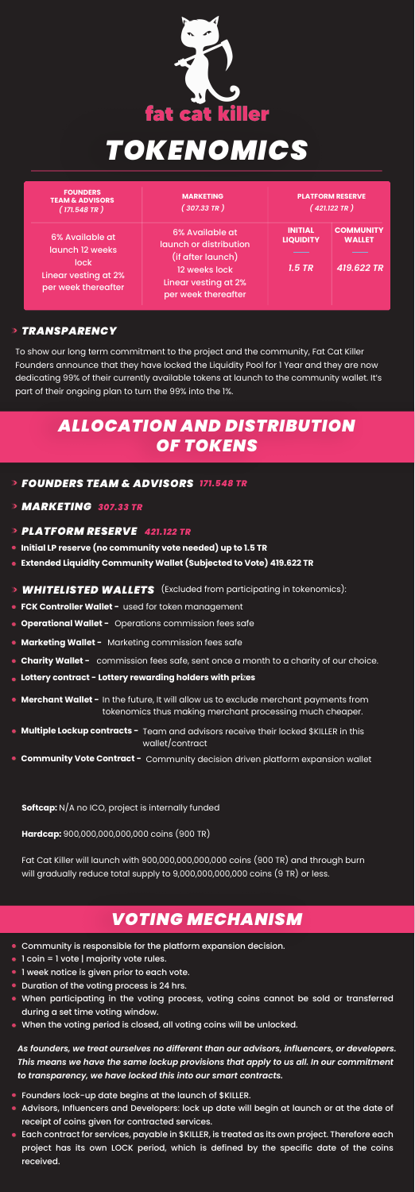

# *TOKENOMICS*

- *FOUNDERS TEAM & ADVISORS 171.548 TR*
- *MARKETING 307.33 TR*
- *PLATFORM RESERVE 421.122 TR*
- **Initial LP reserve (no community vote needed) up to 1.5 TR**
- **Extended Liquidity Community Wallet (Subjected to Vote) 419.622 TR**
- *WHITELISTED WALLETS* (Excluded from participating in tokenomics):
- **FCK Controller Wallet -** used for token management
- **Operational Wallet -** Operations commission fees safe
- 
- **Marketing Wallet -** Marketing commission fees safe
- **Charity Wallet -** commission fees safe, sent once a month to a charity of our choice.
- **Lottery contract Lottery rewarding holders with pri**z**es**
- **Merchant Wallet -** In the future, It will allow us to exclude merchant payments from tokenomics thus making merchant processing much cheaper.
- **Multiple Lockup contracts -** Team and advisors receive their locked \$KILLER in this wallet/contract
- **Community Vote Contract -** Community decision driven platform expansion wallet

**Softcap:** N/A no ICO, project is internally funded

### *VOTING MECHANISM*

#### *TRANSPARENCY*

- **Community is responsible for the platform expansion decision.**
- 1 coin = 1 vote | majority vote rules.
- **I week notice is given prior to each vote.**
- Duration of the voting process is 24 hrs.
- When participating in the voting process, voting coins cannot be sold or transferred during a set time voting window.
- When the voting period is closed, all voting coins will be unlocked.

*As founders, we treat ourselves no different than our advisors, influencers, or developers. This means we have the same lockup provisions that apply to us all. In our commitment to transparency, we have locked this into our smart contracts.*

**Hardcap:** 900,000,000,000,000 coins (900 TR)

Fat Cat Killer will launch with 900,000,000,000,000 coins (900 TR) and through burn will gradually reduce total supply to 9,000,000,000,000 coins (9 TR) or less.

- **•** Founders lock-up date begins at the launch of \$KILLER.
- Advisors, Influencers and Developers: lock up date will begin at launch or at the date of receipt of coins given for contracted services.
- **Each contract for services, payable in \$KILLER, is treated as its own project. Therefore each** project has its own LOCK period, which is defined by the specific date of the coins received.

| <b>FOUNDERS</b><br><b>TEAM &amp; ADVISORS</b><br>(171.548 TR)                                    | <b>MARKETING</b><br>(307.33 TR)                                                                                                | <b>PLATFORM RESERVE</b><br>(421.122 TR)        |                                                 |
|--------------------------------------------------------------------------------------------------|--------------------------------------------------------------------------------------------------------------------------------|------------------------------------------------|-------------------------------------------------|
| 6% Available at<br>launch 12 weeks<br><b>lock</b><br>Linear vesting at 2%<br>per week thereafter | 6% Available at<br>launch or distribution<br>(if after launch)<br>12 weeks lock<br>Linear vesting at 2%<br>per week thereafter | <b>INITIAL</b><br><b>LIQUIDITY</b><br>$1.5$ TR | <b>COMMUNITY</b><br><b>WALLET</b><br>419.622 TR |

## *ALLOCATION AND DISTRIBUTION OF TOKENS*

To show our long term commitment to the project and the community, Fat Cat Killer Founders announce that they have locked the Liquidity Pool for 1 Year and they are now dedicating 99% of their currently available tokens at launch to the community wallet. It's part of their ongoing plan to turn the 99% into the 1%.